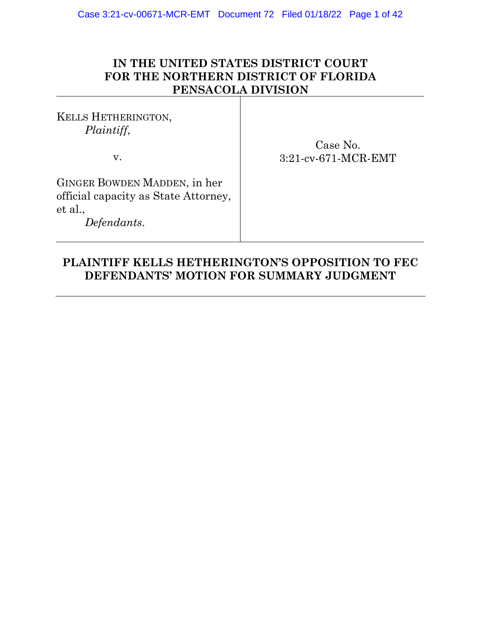## **IN THE UNITED STATES DISTRICT COURT FOR THE NORTHERN DISTRICT OF FLORIDA PENSACOLA DIVISION**

KELLS HETHERINGTON, *Plaintiff*,

v.

Case No. 3:21-cv-671-MCR-EMT

GINGER BOWDEN MADDEN, in her official capacity as State Attorney, et al.,

*Defendants*.

## **PLAINTIFF KELLS HETHERINGTON'S OPPOSITION TO FEC DEFENDANTS' MOTION FOR SUMMARY JUDGMENT**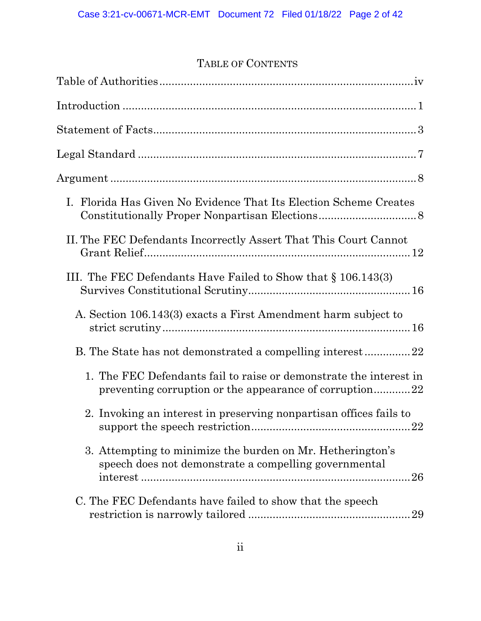# TABLE OF CONTENTS

| I. Florida Has Given No Evidence That Its Election Scheme Creates                                                             |
|-------------------------------------------------------------------------------------------------------------------------------|
| II. The FEC Defendants Incorrectly Assert That This Court Cannot                                                              |
| III. The FEC Defendants Have Failed to Show that $\S 106.143(3)$                                                              |
| A. Section 106.143(3) exacts a First Amendment harm subject to                                                                |
| B. The State has not demonstrated a compelling interest22                                                                     |
| 1. The FEC Defendants fail to raise or demonstrate the interest in<br>preventing corruption or the appearance of corruption22 |
| 2. Invoking an interest in preserving nonpartisan offices fails to<br>22                                                      |
| 3. Attempting to minimize the burden on Mr. Hetherington's<br>speech does not demonstrate a compelling governmental           |
| C. The FEC Defendants have failed to show that the speech<br>29                                                               |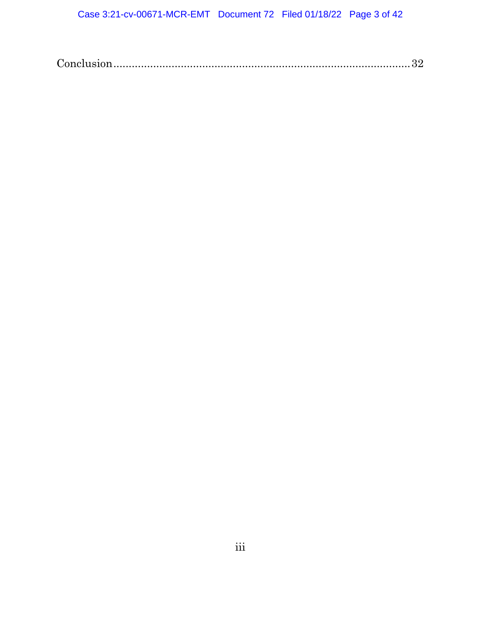|--|--|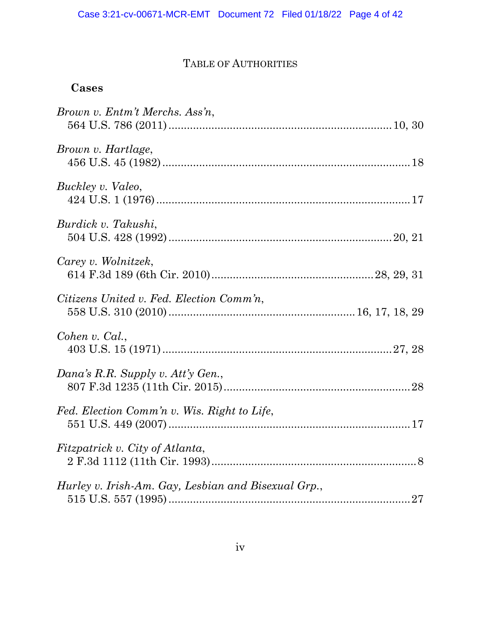# TABLE OF AUTHORITIES

## **Cases**

| Brown v. Entm't Merchs. Ass'n,                      |  |
|-----------------------------------------------------|--|
| Brown v. Hartlage,                                  |  |
| Buckley v. Valeo,                                   |  |
| Burdick v. Takushi,                                 |  |
| Carey v. Wolnitzek,                                 |  |
| Citizens United v. Fed. Election Comm'n,            |  |
| Cohen v. Cal.,                                      |  |
| Dana's R.R. Supply v. Att'y Gen.,                   |  |
| Fed. Election Comm'n v. Wis. Right to Life,         |  |
| Fitzpatrick v. City of Atlanta,                     |  |
| Hurley v. Irish-Am. Gay, Lesbian and Bisexual Grp., |  |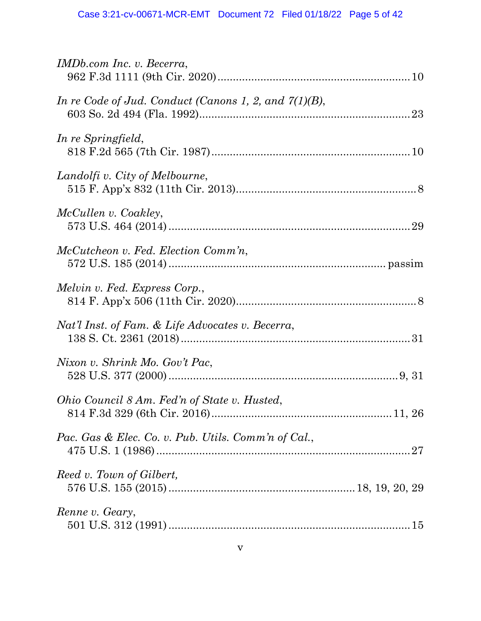| IMDb.com Inc. v. Becerra,                                |
|----------------------------------------------------------|
| In re Code of Jud. Conduct (Canons 1, 2, and $7(1)(B)$ , |
| In re Springfield,                                       |
| Landolfi v. City of Melbourne,                           |
| McCullen v. Coakley,                                     |
| McCutcheon v. Fed. Election Comm'n,                      |
| Melvin v. Fed. Express Corp.,                            |
| Nat'l Inst. of Fam. & Life Advocates v. Becerra,         |
| Nixon v. Shrink Mo. Gov't Pac,                           |
| Ohio Council 8 Am. Fed'n of State v. Husted,             |
| Pac. Gas & Elec. Co. v. Pub. Utils. Comm'n of Cal.,      |
| Reed v. Town of Gilbert,                                 |
| Renne v. Geary,                                          |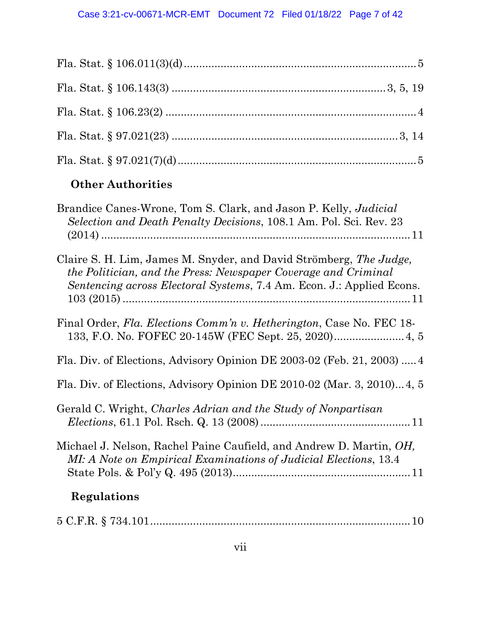| <b>Other Authorities</b> |  |
|--------------------------|--|

| Brandice Canes-Wrone, Tom S. Clark, and Jason P. Kelly, <i>Judicial</i><br>Selection and Death Penalty Decisions, 108.1 Am. Pol. Sci. Rev. 23 |
|-----------------------------------------------------------------------------------------------------------------------------------------------|
| Claire S. H. Lim, James M. Snyder, and David Strömberg, The Judge,                                                                            |
| the Politician, and the Press: Newspaper Coverage and Criminal<br>Sentencing across Electoral Systems, 7.4 Am. Econ. J.: Applied Econs.       |
| Final Order, Fla. Elections Comm'n v. Hetherington, Case No. FEC 18-                                                                          |
| Fla. Div. of Elections, Advisory Opinion DE 2003-02 (Feb. 21, 2003)  4                                                                        |
| Fla. Div. of Elections, Advisory Opinion DE 2010-02 (Mar. 3, 2010)4, 5                                                                        |
| Gerald C. Wright, Charles Adrian and the Study of Nonpartisan                                                                                 |
| Michael J. Nelson, Rachel Paine Caufield, and Andrew D. Martin, OH,<br>MI: A Note on Empirical Examinations of Judicial Elections, 13.4       |
| Regulations                                                                                                                                   |
|                                                                                                                                               |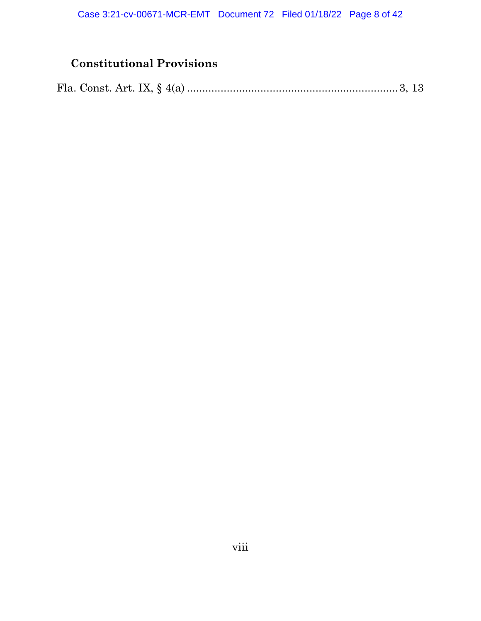# **Constitutional Provisions**

|--|--|--|--|--|--|--|--|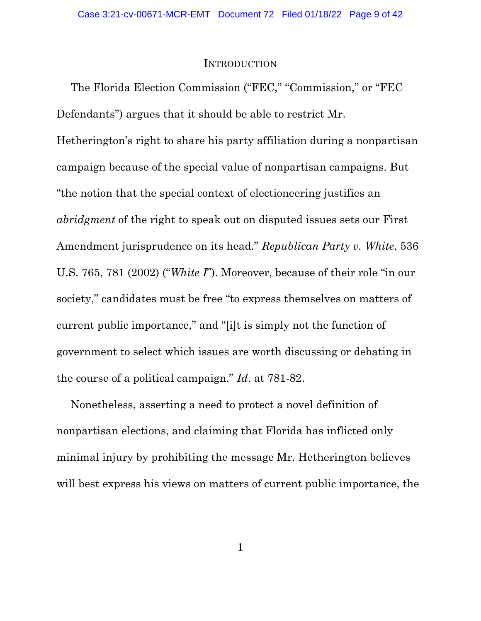#### **INTRODUCTION**

The Florida Election Commission ("FEC," "Commission," or "FEC Defendants") argues that it should be able to restrict Mr. Hetherington's right to share his party affiliation during a nonpartisan campaign because of the special value of nonpartisan campaigns. But "the notion that the special context of electioneering justifies an *abridgment* of the right to speak out on disputed issues sets our First Amendment jurisprudence on its head." *Republican Party v. White*, 536 U.S. 765, 781 (2002) ("*White I*"). Moreover, because of their role "in our society," candidates must be free "to express themselves on matters of current public importance," and "[i]t is simply not the function of government to select which issues are worth discussing or debating in the course of a political campaign." *Id*. at 781-82.

Nonetheless, asserting a need to protect a novel definition of nonpartisan elections, and claiming that Florida has inflicted only minimal injury by prohibiting the message Mr. Hetherington believes will best express his views on matters of current public importance, the

1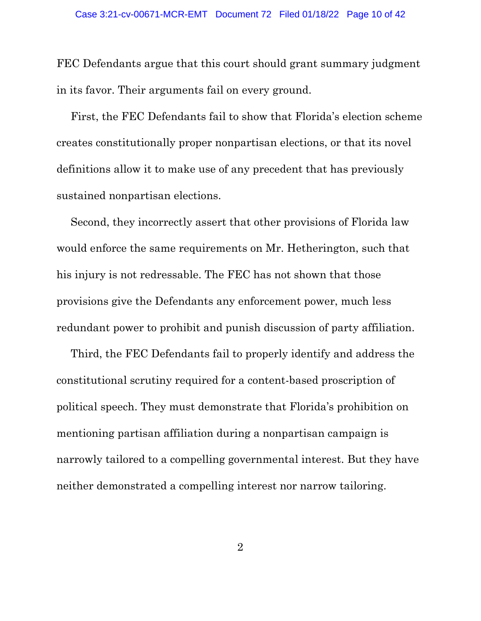FEC Defendants argue that this court should grant summary judgment in its favor. Their arguments fail on every ground.

First, the FEC Defendants fail to show that Florida's election scheme creates constitutionally proper nonpartisan elections, or that its novel definitions allow it to make use of any precedent that has previously sustained nonpartisan elections.

Second, they incorrectly assert that other provisions of Florida law would enforce the same requirements on Mr. Hetherington, such that his injury is not redressable. The FEC has not shown that those provisions give the Defendants any enforcement power, much less redundant power to prohibit and punish discussion of party affiliation.

Third, the FEC Defendants fail to properly identify and address the constitutional scrutiny required for a content-based proscription of political speech. They must demonstrate that Florida's prohibition on mentioning partisan affiliation during a nonpartisan campaign is narrowly tailored to a compelling governmental interest. But they have neither demonstrated a compelling interest nor narrow tailoring.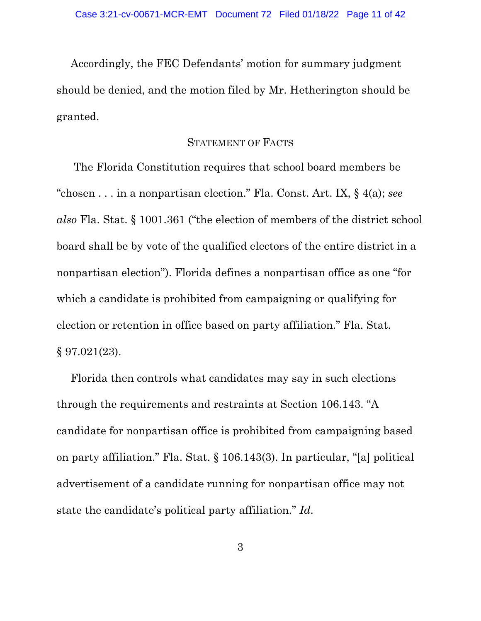Accordingly, the FEC Defendants' motion for summary judgment should be denied, and the motion filed by Mr. Hetherington should be granted.

### STATEMENT OF FACTS

The Florida Constitution requires that school board members be "chosen . . . in a nonpartisan election." Fla. Const. Art. IX, § 4(a); *see also* Fla. Stat. § 1001.361 ("the election of members of the district school board shall be by vote of the qualified electors of the entire district in a nonpartisan election"). Florida defines a nonpartisan office as one "for which a candidate is prohibited from campaigning or qualifying for election or retention in office based on party affiliation." Fla. Stat. § 97.021(23).

Florida then controls what candidates may say in such elections through the requirements and restraints at Section 106.143. "A candidate for nonpartisan office is prohibited from campaigning based on party affiliation." Fla. Stat. § 106.143(3). In particular, "[a] political advertisement of a candidate running for nonpartisan office may not state the candidate's political party affiliation." *Id*.

3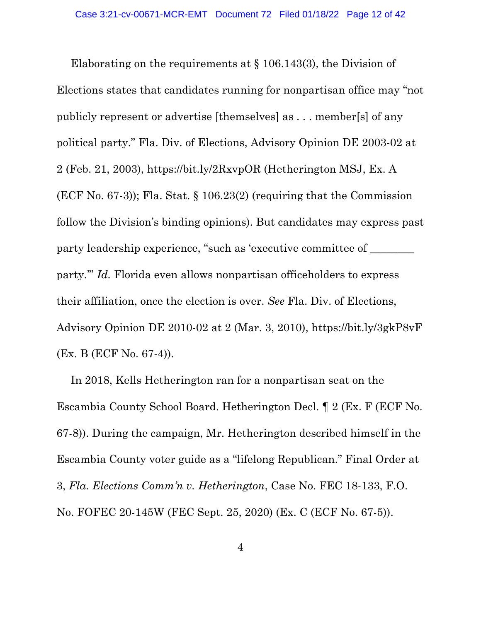Elaborating on the requirements at § 106.143(3), the Division of Elections states that candidates running for nonpartisan office may "not publicly represent or advertise [themselves] as . . . member[s] of any political party." Fla. Div. of Elections, Advisory Opinion DE 2003-02 at 2 (Feb. 21, 2003), https://bit.ly/2RxvpOR (Hetherington MSJ, Ex. A (ECF No. 67-3)); Fla. Stat. § 106.23(2) (requiring that the Commission follow the Division's binding opinions). But candidates may express past party leadership experience, "such as 'executive committee of  $\_\_$ party.'" *Id.* Florida even allows nonpartisan officeholders to express their affiliation, once the election is over. *See* Fla. Div. of Elections, Advisory Opinion DE 2010-02 at 2 (Mar. 3, 2010), https://bit.ly/3gkP8vF (Ex. B (ECF No. 67-4)).

In 2018, Kells Hetherington ran for a nonpartisan seat on the Escambia County School Board. Hetherington Decl. ¶ 2 (Ex. F (ECF No. 67-8)). During the campaign, Mr. Hetherington described himself in the Escambia County voter guide as a "lifelong Republican." Final Order at 3, *Fla. Elections Comm'n v. Hetherington*, Case No. FEC 18-133, F.O. No. FOFEC 20-145W (FEC Sept. 25, 2020) (Ex. C (ECF No. 67-5)).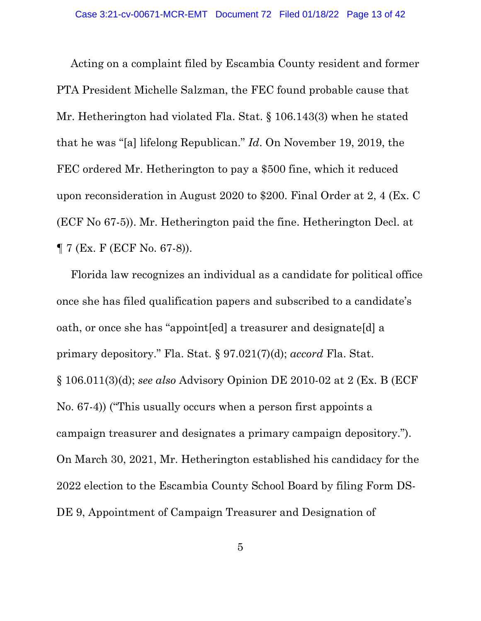Acting on a complaint filed by Escambia County resident and former PTA President Michelle Salzman, the FEC found probable cause that Mr. Hetherington had violated Fla. Stat. § 106.143(3) when he stated that he was "[a] lifelong Republican." *Id*. On November 19, 2019, the FEC ordered Mr. Hetherington to pay a \$500 fine, which it reduced upon reconsideration in August 2020 to \$200. Final Order at 2, 4 (Ex. C (ECF No 67-5)). Mr. Hetherington paid the fine. Hetherington Decl. at ¶ 7 (Ex. F (ECF No. 67-8)).

Florida law recognizes an individual as a candidate for political office once she has filed qualification papers and subscribed to a candidate's oath, or once she has "appoint[ed] a treasurer and designate[d] a primary depository." Fla. Stat. § 97.021(7)(d); *accord* Fla. Stat. § 106.011(3)(d); *see also* Advisory Opinion DE 2010-02 at 2 (Ex. B (ECF No. 67-4)) ("This usually occurs when a person first appoints a campaign treasurer and designates a primary campaign depository."). On March 30, 2021, Mr. Hetherington established his candidacy for the 2022 election to the Escambia County School Board by filing Form DS-DE 9, Appointment of Campaign Treasurer and Designation of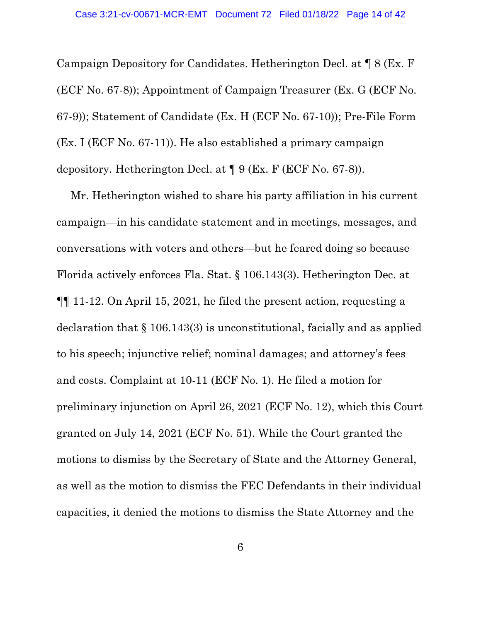Campaign Depository for Candidates. Hetherington Decl. at ¶ 8 (Ex. F (ECF No. 67-8)); Appointment of Campaign Treasurer (Ex. G (ECF No. 67-9)); Statement of Candidate (Ex. H (ECF No. 67-10)); Pre-File Form (Ex. I (ECF No. 67-11)). He also established a primary campaign depository. Hetherington Decl. at ¶ 9 (Ex. F (ECF No. 67-8)).

Mr. Hetherington wished to share his party affiliation in his current campaign—in his candidate statement and in meetings, messages, and conversations with voters and others—but he feared doing so because Florida actively enforces Fla. Stat. § 106.143(3). Hetherington Dec. at ¶¶ 11-12. On April 15, 2021, he filed the present action, requesting a declaration that § 106.143(3) is unconstitutional, facially and as applied to his speech; injunctive relief; nominal damages; and attorney's fees and costs. Complaint at 10-11 (ECF No. 1). He filed a motion for preliminary injunction on April 26, 2021 (ECF No. 12), which this Court granted on July 14, 2021 (ECF No. 51). While the Court granted the motions to dismiss by the Secretary of State and the Attorney General, as well as the motion to dismiss the FEC Defendants in their individual capacities, it denied the motions to dismiss the State Attorney and the

6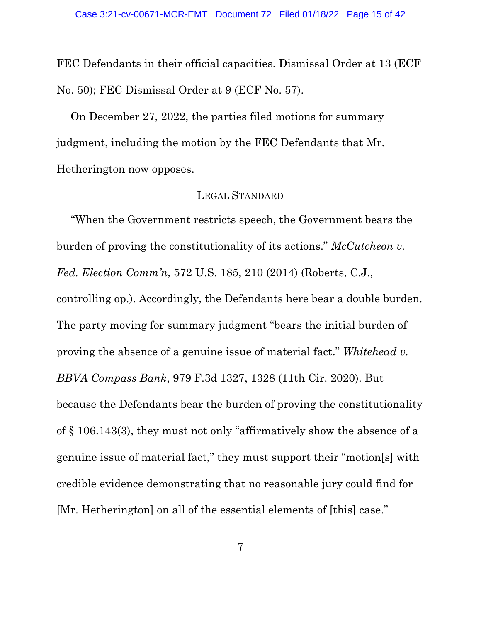FEC Defendants in their official capacities. Dismissal Order at 13 (ECF No. 50); FEC Dismissal Order at 9 (ECF No. 57).

On December 27, 2022, the parties filed motions for summary judgment, including the motion by the FEC Defendants that Mr. Hetherington now opposes.

### LEGAL STANDARD

"When the Government restricts speech, the Government bears the burden of proving the constitutionality of its actions." *McCutcheon v. Fed. Election Comm'n*, 572 U.S. 185, 210 (2014) (Roberts, C.J., controlling op.). Accordingly, the Defendants here bear a double burden. The party moving for summary judgment "bears the initial burden of proving the absence of a genuine issue of material fact." *Whitehead v. BBVA Compass Bank*, 979 F.3d 1327, 1328 (11th Cir. 2020). But because the Defendants bear the burden of proving the constitutionality of § 106.143(3), they must not only "affirmatively show the absence of a genuine issue of material fact," they must support their "motion[s] with credible evidence demonstrating that no reasonable jury could find for [Mr. Hetherington] on all of the essential elements of [this] case."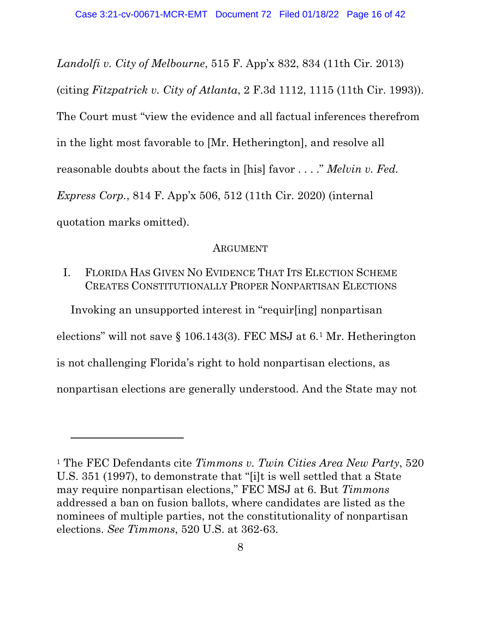*Landolfi v. City of Melbourne*, 515 F. App'x 832, 834 (11th Cir. 2013) (citing *Fitzpatrick v. City of Atlanta*, 2 F.3d 1112, 1115 (11th Cir. 1993)). The Court must "view the evidence and all factual inferences therefrom in the light most favorable to [Mr. Hetherington], and resolve all reasonable doubts about the facts in [his] favor . . . ." *Melvin v. Fed. Express Corp.*, 814 F. App'x 506, 512 (11th Cir. 2020) (internal quotation marks omitted).

#### ARGUMENT

## I. FLORIDA HAS GIVEN NO EVIDENCE THAT ITS ELECTION SCHEME CREATES CONSTITUTIONALLY PROPER NONPARTISAN ELECTIONS

Invoking an unsupported interest in "requir[ing] nonpartisan elections" will not save § 106.143(3). FEC MSJ at 6.1 Mr. Hetherington is not challenging Florida's right to hold nonpartisan elections, as nonpartisan elections are generally understood. And the State may not

<sup>1</sup> The FEC Defendants cite *Timmons v. Twin Cities Area New Party*, 520 U.S. 351 (1997), to demonstrate that "[i]t is well settled that a State may require nonpartisan elections," FEC MSJ at 6. But *Timmons*  addressed a ban on fusion ballots, where candidates are listed as the nominees of multiple parties, not the constitutionality of nonpartisan elections. *See Timmons*, 520 U.S. at 362-63.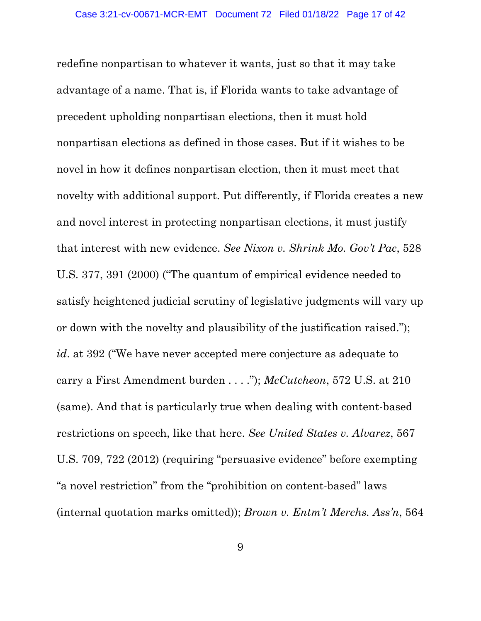redefine nonpartisan to whatever it wants, just so that it may take advantage of a name. That is, if Florida wants to take advantage of precedent upholding nonpartisan elections, then it must hold nonpartisan elections as defined in those cases. But if it wishes to be novel in how it defines nonpartisan election, then it must meet that novelty with additional support. Put differently, if Florida creates a new and novel interest in protecting nonpartisan elections, it must justify that interest with new evidence. *See Nixon v. Shrink Mo. Gov't Pac*, 528 U.S. 377, 391 (2000) ("The quantum of empirical evidence needed to satisfy heightened judicial scrutiny of legislative judgments will vary up or down with the novelty and plausibility of the justification raised."); *id*. at 392 ("We have never accepted mere conjecture as adequate to carry a First Amendment burden . . . ."); *McCutcheon*, 572 U.S. at 210 (same). And that is particularly true when dealing with content-based restrictions on speech, like that here. *See United States v. Alvarez*, 567 U.S. 709, 722 (2012) (requiring "persuasive evidence" before exempting "a novel restriction" from the "prohibition on content-based" laws (internal quotation marks omitted)); *Brown v. Entm't Merchs. Ass'n*, 564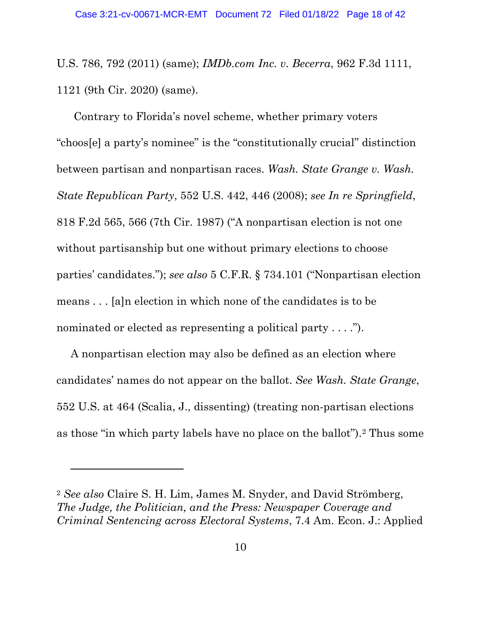U.S. 786, 792 (2011) (same); *IMDb.com Inc. v. Becerra*, 962 F.3d 1111, 1121 (9th Cir. 2020) (same).

Contrary to Florida's novel scheme, whether primary voters "choos[e] a party's nominee" is the "constitutionally crucial" distinction between partisan and nonpartisan races. *Wash. State Grange v. Wash. State Republican Party*, 552 U.S. 442, 446 (2008); *see In re Springfield*, 818 F.2d 565, 566 (7th Cir. 1987) ("A nonpartisan election is not one without partisanship but one without primary elections to choose parties' candidates."); *see also* 5 C.F.R. § 734.101 ("Nonpartisan election means . . . [a]n election in which none of the candidates is to be nominated or elected as representing a political party . . . .").

A nonpartisan election may also be defined as an election where candidates' names do not appear on the ballot. *See Wash. State Grange*, 552 U.S. at 464 (Scalia, J., dissenting) (treating non-partisan elections as those "in which party labels have no place on the ballot").2 Thus some

<sup>2</sup> *See also* Claire S. H. Lim, James M. Snyder, and David Strömberg, *The Judge, the Politician, and the Press: Newspaper Coverage and Criminal Sentencing across Electoral Systems*, 7.4 Am. Econ. J.: Applied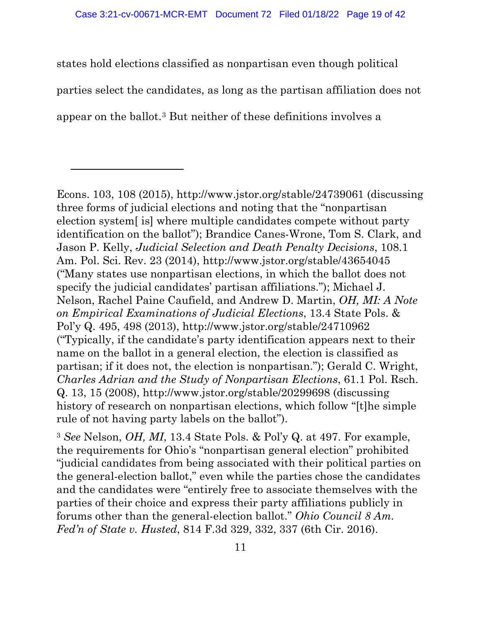states hold elections classified as nonpartisan even though political parties select the candidates, as long as the partisan affiliation does not appear on the ballot.3 But neither of these definitions involves a

Econs. 103, 108 (2015), http://www.jstor.org/stable/24739061 (discussing three forms of judicial elections and noting that the "nonpartisan election system[ is] where multiple candidates compete without party identification on the ballot"); Brandice Canes-Wrone, Tom S. Clark, and Jason P. Kelly, *Judicial Selection and Death Penalty Decisions*, 108.1 Am. Pol. Sci. Rev. 23 (2014), http://www.jstor.org/stable/43654045 ("Many states use nonpartisan elections, in which the ballot does not specify the judicial candidates' partisan affiliations."); Michael J. Nelson, Rachel Paine Caufield, and Andrew D. Martin, *OH, MI: A Note on Empirical Examinations of Judicial Elections*, 13.4 State Pols. & Pol'y Q. 495, 498 (2013), http://www.jstor.org/stable/24710962 ("Typically, if the candidate's party identification appears next to their name on the ballot in a general election, the election is classified as partisan; if it does not, the election is nonpartisan."); Gerald C. Wright, *Charles Adrian and the Study of Nonpartisan Elections*, 61.1 Pol. Rsch. Q. 13, 15 (2008), http://www.jstor.org/stable/20299698 (discussing history of research on nonpartisan elections, which follow "[t]he simple rule of not having party labels on the ballot").

<sup>3</sup> *See* Nelson, *OH, MI*, 13.4 State Pols. & Pol'y Q. at 497. For example, the requirements for Ohio's "nonpartisan general election" prohibited "judicial candidates from being associated with their political parties on the general-election ballot," even while the parties chose the candidates and the candidates were "entirely free to associate themselves with the parties of their choice and express their party affiliations publicly in forums other than the general-election ballot." *Ohio Council 8 Am. Fed'n of State v. Husted*, 814 F.3d 329, 332, 337 (6th Cir. 2016).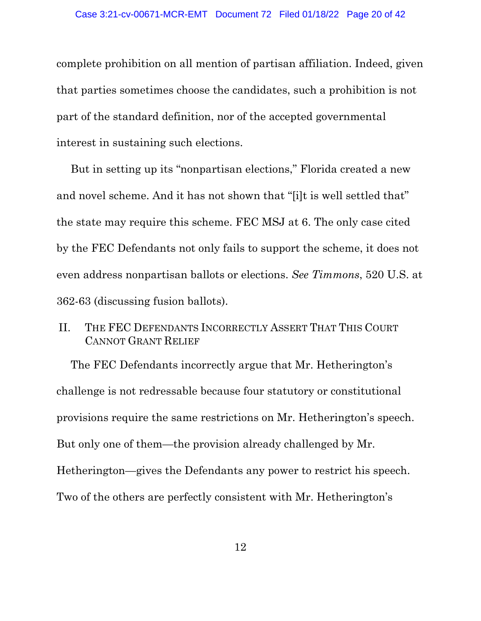complete prohibition on all mention of partisan affiliation. Indeed, given that parties sometimes choose the candidates, such a prohibition is not part of the standard definition, nor of the accepted governmental interest in sustaining such elections.

But in setting up its "nonpartisan elections," Florida created a new and novel scheme. And it has not shown that "[i]t is well settled that" the state may require this scheme. FEC MSJ at 6. The only case cited by the FEC Defendants not only fails to support the scheme, it does not even address nonpartisan ballots or elections. *See Timmons*, 520 U.S. at 362-63 (discussing fusion ballots).

## II. THE FEC DEFENDANTS INCORRECTLY ASSERT THAT THIS COURT CANNOT GRANT RELIEF

The FEC Defendants incorrectly argue that Mr. Hetherington's challenge is not redressable because four statutory or constitutional provisions require the same restrictions on Mr. Hetherington's speech. But only one of them—the provision already challenged by Mr. Hetherington—gives the Defendants any power to restrict his speech. Two of the others are perfectly consistent with Mr. Hetherington's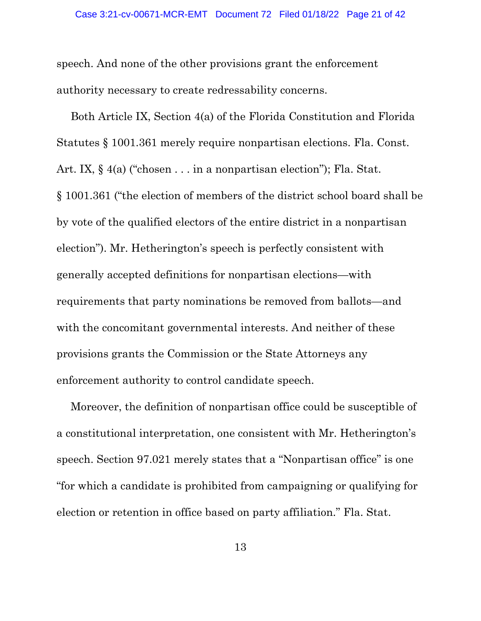speech. And none of the other provisions grant the enforcement authority necessary to create redressability concerns.

Both Article IX, Section 4(a) of the Florida Constitution and Florida Statutes § 1001.361 merely require nonpartisan elections. Fla. Const. Art. IX, § 4(a) ("chosen . . . in a nonpartisan election"); Fla. Stat. § 1001.361 ("the election of members of the district school board shall be by vote of the qualified electors of the entire district in a nonpartisan election"). Mr. Hetherington's speech is perfectly consistent with generally accepted definitions for nonpartisan elections—with requirements that party nominations be removed from ballots—and with the concomitant governmental interests. And neither of these provisions grants the Commission or the State Attorneys any enforcement authority to control candidate speech.

Moreover, the definition of nonpartisan office could be susceptible of a constitutional interpretation, one consistent with Mr. Hetherington's speech. Section 97.021 merely states that a "Nonpartisan office" is one "for which a candidate is prohibited from campaigning or qualifying for election or retention in office based on party affiliation." Fla. Stat.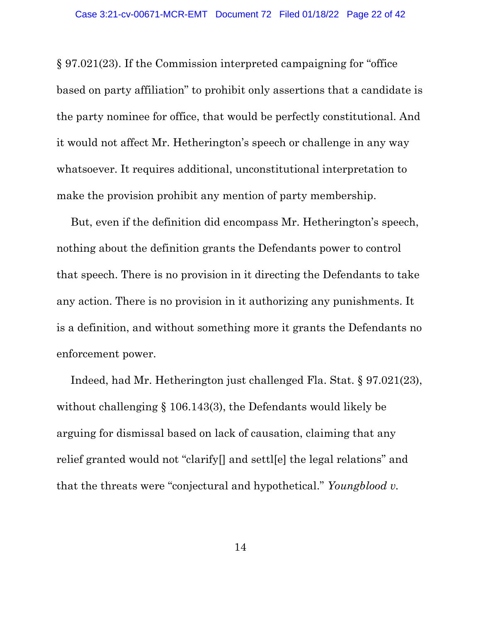§ 97.021(23). If the Commission interpreted campaigning for "office based on party affiliation" to prohibit only assertions that a candidate is the party nominee for office, that would be perfectly constitutional. And it would not affect Mr. Hetherington's speech or challenge in any way whatsoever. It requires additional, unconstitutional interpretation to make the provision prohibit any mention of party membership.

But, even if the definition did encompass Mr. Hetherington's speech, nothing about the definition grants the Defendants power to control that speech. There is no provision in it directing the Defendants to take any action. There is no provision in it authorizing any punishments. It is a definition, and without something more it grants the Defendants no enforcement power.

Indeed, had Mr. Hetherington just challenged Fla. Stat. § 97.021(23), without challenging § 106.143(3), the Defendants would likely be arguing for dismissal based on lack of causation, claiming that any relief granted would not "clarify[] and settl[e] the legal relations" and that the threats were "conjectural and hypothetical." *Youngblood v.*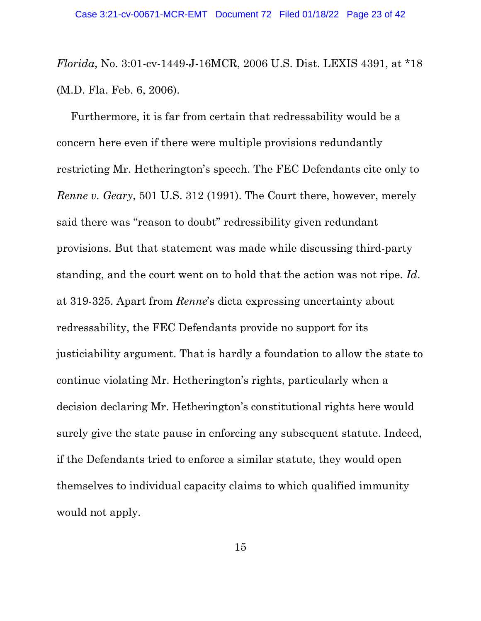*Florida*, No. 3:01-cv-1449-J-16MCR, 2006 U.S. Dist. LEXIS 4391, at \*18 (M.D. Fla. Feb. 6, 2006).

Furthermore, it is far from certain that redressability would be a concern here even if there were multiple provisions redundantly restricting Mr. Hetherington's speech. The FEC Defendants cite only to *Renne v. Geary*, 501 U.S. 312 (1991). The Court there, however, merely said there was "reason to doubt" redressibility given redundant provisions. But that statement was made while discussing third-party standing, and the court went on to hold that the action was not ripe. *Id*. at 319-325. Apart from *Renne*'s dicta expressing uncertainty about redressability, the FEC Defendants provide no support for its justiciability argument. That is hardly a foundation to allow the state to continue violating Mr. Hetherington's rights, particularly when a decision declaring Mr. Hetherington's constitutional rights here would surely give the state pause in enforcing any subsequent statute. Indeed, if the Defendants tried to enforce a similar statute, they would open themselves to individual capacity claims to which qualified immunity would not apply.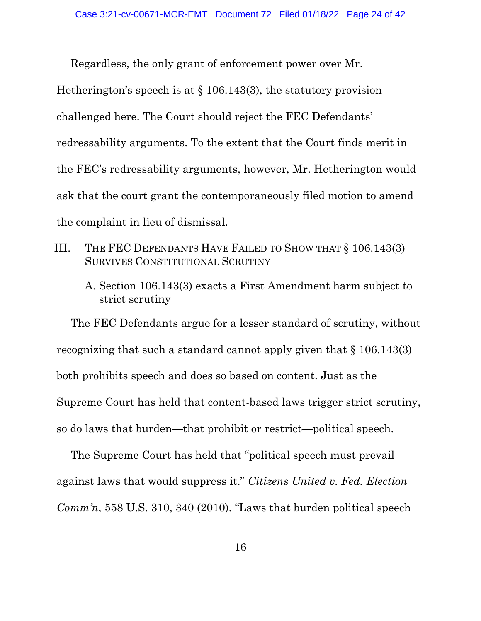Regardless, the only grant of enforcement power over Mr. Hetherington's speech is at § 106.143(3), the statutory provision challenged here. The Court should reject the FEC Defendants' redressability arguments. To the extent that the Court finds merit in the FEC's redressability arguments, however, Mr. Hetherington would ask that the court grant the contemporaneously filed motion to amend the complaint in lieu of dismissal.

- III. THE FEC DEFENDANTS HAVE FAILED TO SHOW THAT § 106.143(3) SURVIVES CONSTITUTIONAL SCRUTINY
	- A. Section 106.143(3) exacts a First Amendment harm subject to strict scrutiny

The FEC Defendants argue for a lesser standard of scrutiny, without recognizing that such a standard cannot apply given that  $\S 106.143(3)$ both prohibits speech and does so based on content. Just as the Supreme Court has held that content-based laws trigger strict scrutiny, so do laws that burden—that prohibit or restrict—political speech.

The Supreme Court has held that "political speech must prevail against laws that would suppress it." *Citizens United v. Fed. Election Comm'n*, 558 U.S. 310, 340 (2010). "Laws that burden political speech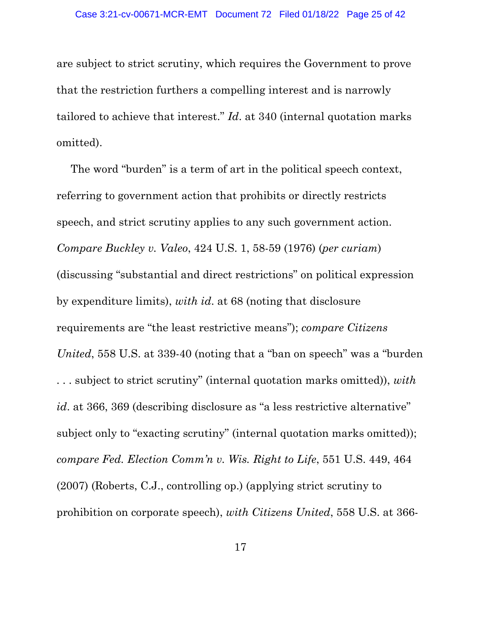are subject to strict scrutiny, which requires the Government to prove that the restriction furthers a compelling interest and is narrowly tailored to achieve that interest." *Id*. at 340 (internal quotation marks omitted).

The word "burden" is a term of art in the political speech context, referring to government action that prohibits or directly restricts speech, and strict scrutiny applies to any such government action. *Compare Buckley v. Valeo*, 424 U.S. 1, 58-59 (1976) (*per curiam*) (discussing "substantial and direct restrictions" on political expression by expenditure limits), *with id*. at 68 (noting that disclosure requirements are "the least restrictive means"); *compare Citizens United*, 558 U.S. at 339-40 (noting that a "ban on speech" was a "burden . . . subject to strict scrutiny" (internal quotation marks omitted)), *with id.* at 366, 369 (describing disclosure as "a less restrictive alternative" subject only to "exacting scrutiny" (internal quotation marks omitted)); *compare Fed. Election Comm'n v. Wis. Right to Life*, 551 U.S. 449, 464 (2007) (Roberts, C.J., controlling op.) (applying strict scrutiny to prohibition on corporate speech), *with Citizens United*, 558 U.S. at 366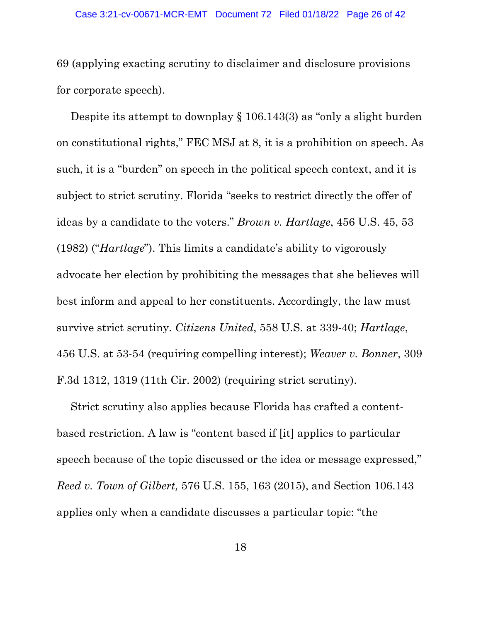69 (applying exacting scrutiny to disclaimer and disclosure provisions for corporate speech).

Despite its attempt to downplay § 106.143(3) as "only a slight burden on constitutional rights," FEC MSJ at 8, it is a prohibition on speech. As such, it is a "burden" on speech in the political speech context, and it is subject to strict scrutiny. Florida "seeks to restrict directly the offer of ideas by a candidate to the voters." *Brown v. Hartlage*, 456 U.S. 45, 53 (1982) ("*Hartlage*"). This limits a candidate's ability to vigorously advocate her election by prohibiting the messages that she believes will best inform and appeal to her constituents. Accordingly, the law must survive strict scrutiny. *Citizens United*, 558 U.S. at 339-40; *Hartlage*, 456 U.S. at 53-54 (requiring compelling interest); *Weaver v. Bonner*, 309 F.3d 1312, 1319 (11th Cir. 2002) (requiring strict scrutiny).

Strict scrutiny also applies because Florida has crafted a contentbased restriction. A law is "content based if [it] applies to particular speech because of the topic discussed or the idea or message expressed," *Reed v. Town of Gilbert,* 576 U.S. 155, 163 (2015), and Section 106.143 applies only when a candidate discusses a particular topic: "the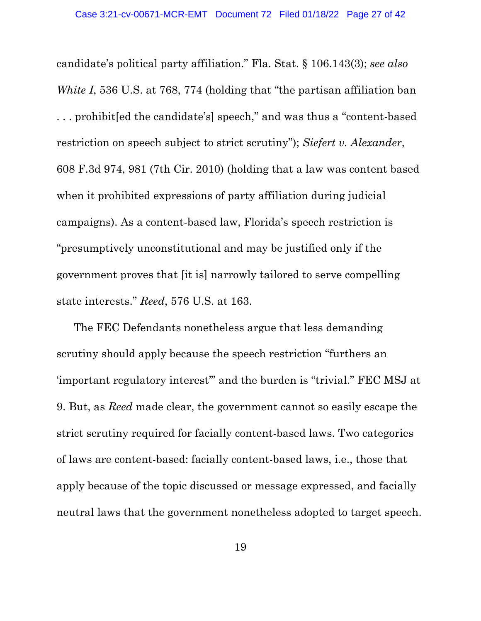candidate's political party affiliation." Fla. Stat. § 106.143(3); *see also White I*, 536 U.S. at 768, 774 (holding that "the partisan affiliation ban . . . prohibit[ed the candidate's] speech," and was thus a "content-based restriction on speech subject to strict scrutiny"); *Siefert v. Alexander*, 608 F.3d 974, 981 (7th Cir. 2010) (holding that a law was content based when it prohibited expressions of party affiliation during judicial campaigns). As a content-based law, Florida's speech restriction is "presumptively unconstitutional and may be justified only if the government proves that [it is] narrowly tailored to serve compelling state interests." *Reed*, 576 U.S. at 163.

The FEC Defendants nonetheless argue that less demanding scrutiny should apply because the speech restriction "furthers an 'important regulatory interest'" and the burden is "trivial." FEC MSJ at 9. But, as *Reed* made clear, the government cannot so easily escape the strict scrutiny required for facially content-based laws. Two categories of laws are content-based: facially content-based laws, i.e., those that apply because of the topic discussed or message expressed, and facially neutral laws that the government nonetheless adopted to target speech.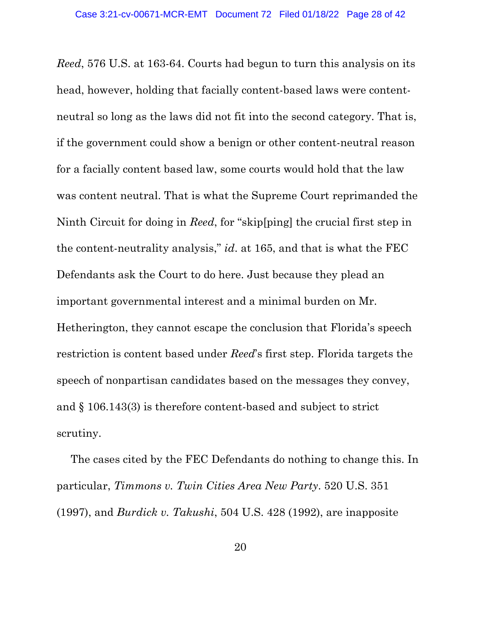*Reed*, 576 U.S. at 163-64. Courts had begun to turn this analysis on its head, however, holding that facially content-based laws were contentneutral so long as the laws did not fit into the second category. That is, if the government could show a benign or other content-neutral reason for a facially content based law, some courts would hold that the law was content neutral. That is what the Supreme Court reprimanded the Ninth Circuit for doing in *Reed*, for "skip[ping] the crucial first step in the content-neutrality analysis," *id*. at 165, and that is what the FEC Defendants ask the Court to do here. Just because they plead an important governmental interest and a minimal burden on Mr. Hetherington, they cannot escape the conclusion that Florida's speech restriction is content based under *Reed*'s first step. Florida targets the speech of nonpartisan candidates based on the messages they convey, and § 106.143(3) is therefore content-based and subject to strict scrutiny.

The cases cited by the FEC Defendants do nothing to change this. In particular, *Timmons v. Twin Cities Area New Party*. 520 U.S. 351 (1997), and *Burdick v. Takushi*, 504 U.S. 428 (1992), are inapposite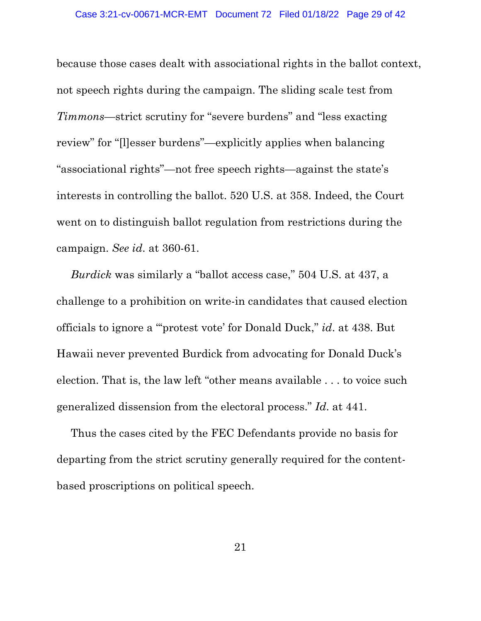because those cases dealt with associational rights in the ballot context, not speech rights during the campaign. The sliding scale test from *Timmons*—strict scrutiny for "severe burdens" and "less exacting review" for "[l]esser burdens"—explicitly applies when balancing "associational rights"—not free speech rights—against the state's interests in controlling the ballot. 520 U.S. at 358. Indeed, the Court went on to distinguish ballot regulation from restrictions during the campaign. *See id*. at 360-61.

*Burdick* was similarly a "ballot access case," 504 U.S. at 437, a challenge to a prohibition on write-in candidates that caused election officials to ignore a "'protest vote' for Donald Duck," *id*. at 438. But Hawaii never prevented Burdick from advocating for Donald Duck's election. That is, the law left "other means available . . . to voice such generalized dissension from the electoral process." *Id*. at 441.

Thus the cases cited by the FEC Defendants provide no basis for departing from the strict scrutiny generally required for the contentbased proscriptions on political speech.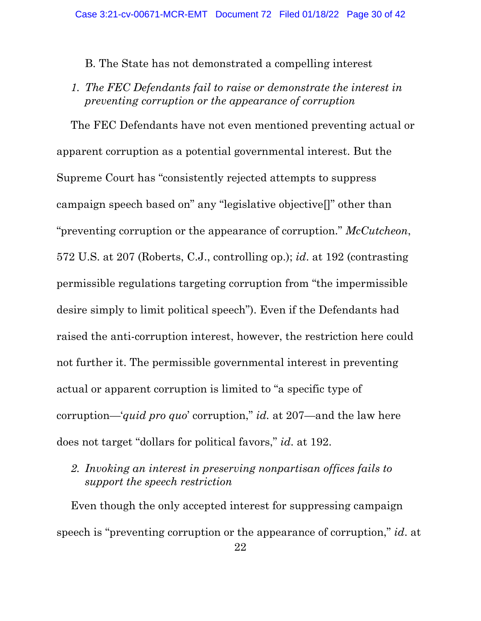B. The State has not demonstrated a compelling interest

*1. The FEC Defendants fail to raise or demonstrate the interest in preventing corruption or the appearance of corruption*

The FEC Defendants have not even mentioned preventing actual or apparent corruption as a potential governmental interest. But the Supreme Court has "consistently rejected attempts to suppress campaign speech based on" any "legislative objective[]" other than "preventing corruption or the appearance of corruption." *McCutcheon*, 572 U.S. at 207 (Roberts, C.J., controlling op.); *id*. at 192 (contrasting permissible regulations targeting corruption from "the impermissible desire simply to limit political speech"). Even if the Defendants had raised the anti-corruption interest, however, the restriction here could not further it. The permissible governmental interest in preventing actual or apparent corruption is limited to "a specific type of corruption—'*quid pro quo*' corruption," *id.* at 207—and the law here does not target "dollars for political favors," *id*. at 192.

*2. Invoking an interest in preserving nonpartisan offices fails to support the speech restriction*

Even though the only accepted interest for suppressing campaign speech is "preventing corruption or the appearance of corruption," *id*. at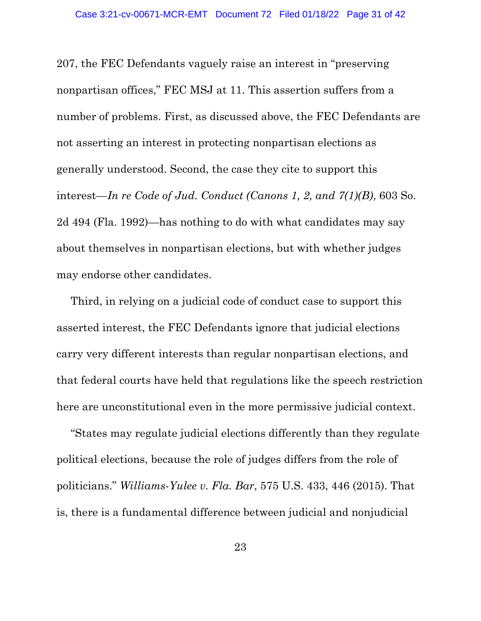207, the FEC Defendants vaguely raise an interest in "preserving nonpartisan offices," FEC MSJ at 11. This assertion suffers from a number of problems. First, as discussed above, the FEC Defendants are not asserting an interest in protecting nonpartisan elections as generally understood. Second, the case they cite to support this interest—*In re Code of Jud. Conduct (Canons 1, 2, and 7(1)(B)*, 603 So. 2d 494 (Fla. 1992)—has nothing to do with what candidates may say about themselves in nonpartisan elections, but with whether judges may endorse other candidates.

Third, in relying on a judicial code of conduct case to support this asserted interest, the FEC Defendants ignore that judicial elections carry very different interests than regular nonpartisan elections, and that federal courts have held that regulations like the speech restriction here are unconstitutional even in the more permissive judicial context.

"States may regulate judicial elections differently than they regulate political elections, because the role of judges differs from the role of politicians." *Williams-Yulee v. Fla. Bar*, 575 U.S. 433, 446 (2015). That is, there is a fundamental difference between judicial and nonjudicial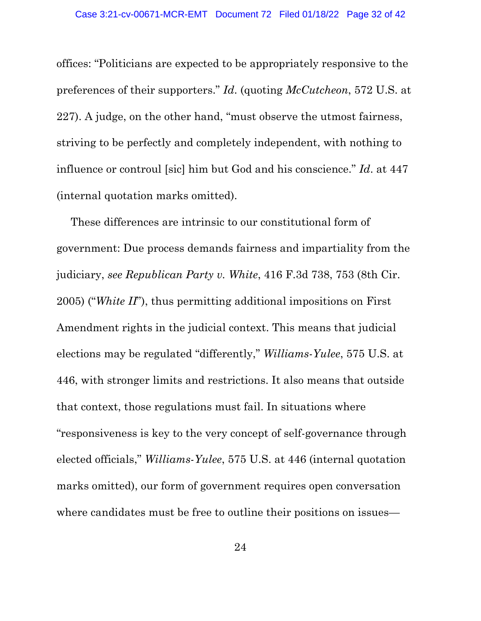offices: "Politicians are expected to be appropriately responsive to the preferences of their supporters." *Id*. (quoting *McCutcheon*, 572 U.S. at 227). A judge, on the other hand, "must observe the utmost fairness, striving to be perfectly and completely independent, with nothing to influence or controul [sic] him but God and his conscience." *Id*. at 447 (internal quotation marks omitted).

These differences are intrinsic to our constitutional form of government: Due process demands fairness and impartiality from the judiciary, *see Republican Party v. White*, 416 F.3d 738, 753 (8th Cir. 2005) ("*White II*"), thus permitting additional impositions on First Amendment rights in the judicial context. This means that judicial elections may be regulated "differently," *Williams-Yulee*, 575 U.S. at 446, with stronger limits and restrictions. It also means that outside that context, those regulations must fail. In situations where "responsiveness is key to the very concept of self-governance through elected officials," *Williams-Yulee*, 575 U.S. at 446 (internal quotation marks omitted), our form of government requires open conversation where candidates must be free to outline their positions on issues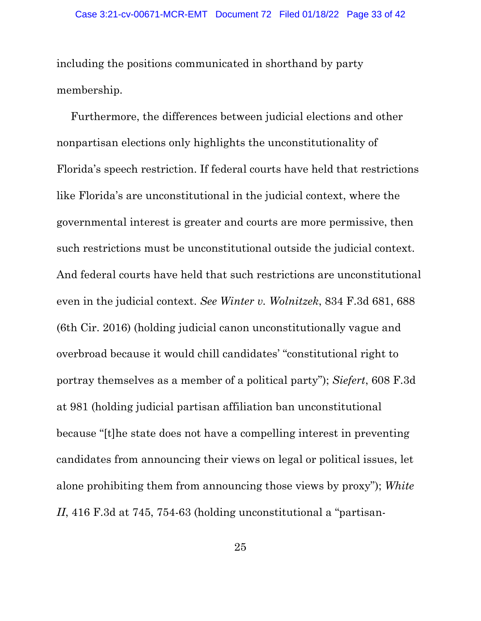including the positions communicated in shorthand by party membership.

Furthermore, the differences between judicial elections and other nonpartisan elections only highlights the unconstitutionality of Florida's speech restriction. If federal courts have held that restrictions like Florida's are unconstitutional in the judicial context, where the governmental interest is greater and courts are more permissive, then such restrictions must be unconstitutional outside the judicial context. And federal courts have held that such restrictions are unconstitutional even in the judicial context. *See Winter v. Wolnitzek*, 834 F.3d 681, 688 (6th Cir. 2016) (holding judicial canon unconstitutionally vague and overbroad because it would chill candidates' "constitutional right to portray themselves as a member of a political party"); *Siefert*, 608 F.3d at 981 (holding judicial partisan affiliation ban unconstitutional because "[t]he state does not have a compelling interest in preventing candidates from announcing their views on legal or political issues, let alone prohibiting them from announcing those views by proxy"); *White II*, 416 F.3d at 745, 754-63 (holding unconstitutional a "partisan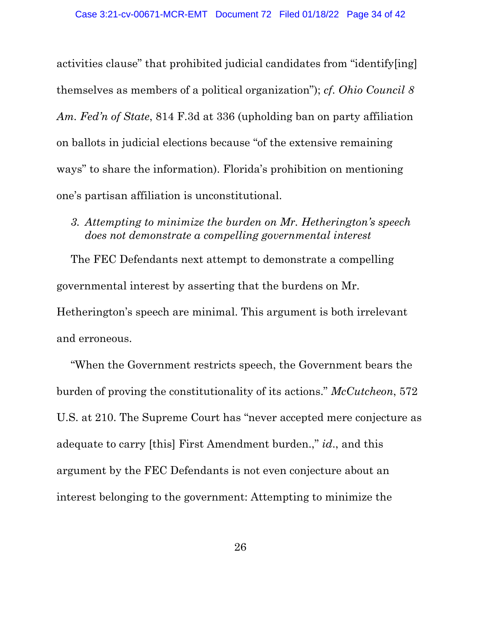activities clause" that prohibited judicial candidates from "identify[ing] themselves as members of a political organization"); *cf*. *Ohio Council 8 Am. Fed'n of State*, 814 F.3d at 336 (upholding ban on party affiliation on ballots in judicial elections because "of the extensive remaining ways" to share the information). Florida's prohibition on mentioning one's partisan affiliation is unconstitutional.

*3. Attempting to minimize the burden on Mr. Hetherington's speech does not demonstrate a compelling governmental interest*

The FEC Defendants next attempt to demonstrate a compelling governmental interest by asserting that the burdens on Mr. Hetherington's speech are minimal. This argument is both irrelevant and erroneous.

"When the Government restricts speech, the Government bears the burden of proving the constitutionality of its actions." *McCutcheon*, 572 U.S. at 210. The Supreme Court has "never accepted mere conjecture as adequate to carry [this] First Amendment burden.," *id*., and this argument by the FEC Defendants is not even conjecture about an interest belonging to the government: Attempting to minimize the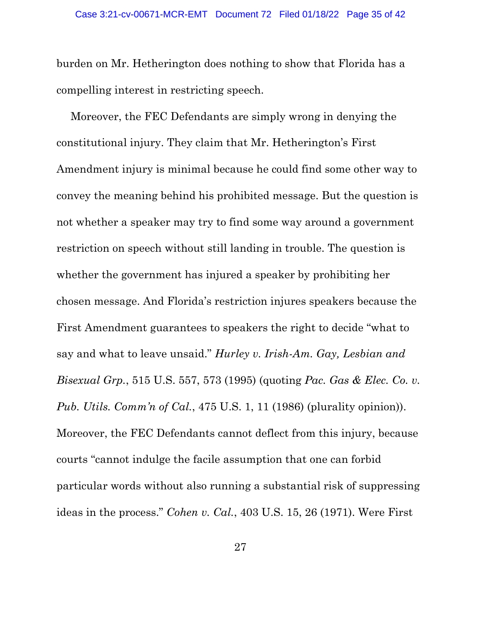burden on Mr. Hetherington does nothing to show that Florida has a compelling interest in restricting speech.

Moreover, the FEC Defendants are simply wrong in denying the constitutional injury. They claim that Mr. Hetherington's First Amendment injury is minimal because he could find some other way to convey the meaning behind his prohibited message. But the question is not whether a speaker may try to find some way around a government restriction on speech without still landing in trouble. The question is whether the government has injured a speaker by prohibiting her chosen message. And Florida's restriction injures speakers because the First Amendment guarantees to speakers the right to decide "what to say and what to leave unsaid." *Hurley v. Irish-Am. Gay, Lesbian and Bisexual Grp.*, 515 U.S. 557, 573 (1995) (quoting *Pac. Gas & Elec. Co. v. Pub. Utils. Comm'n of Cal.*, 475 U.S. 1, 11 (1986) (plurality opinion)). Moreover, the FEC Defendants cannot deflect from this injury, because courts "cannot indulge the facile assumption that one can forbid particular words without also running a substantial risk of suppressing ideas in the process." *Cohen v. Cal.*, 403 U.S. 15, 26 (1971). Were First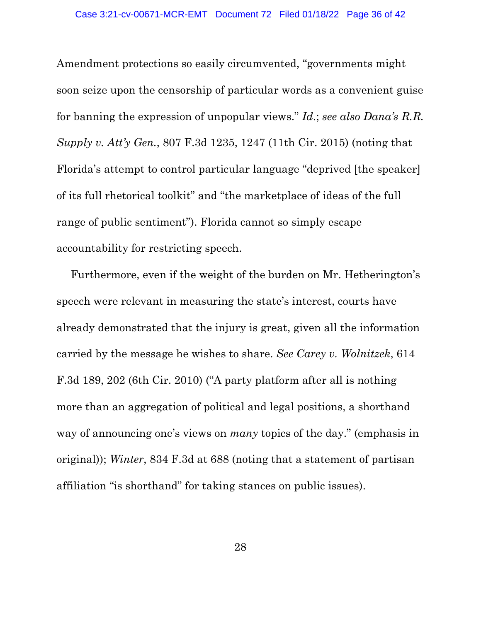Amendment protections so easily circumvented, "governments might soon seize upon the censorship of particular words as a convenient guise for banning the expression of unpopular views." *Id*.; *see also Dana's R.R. Supply v. Att'y Gen.*, 807 F.3d 1235, 1247 (11th Cir. 2015) (noting that Florida's attempt to control particular language "deprived [the speaker] of its full rhetorical toolkit" and "the marketplace of ideas of the full range of public sentiment"). Florida cannot so simply escape accountability for restricting speech.

Furthermore, even if the weight of the burden on Mr. Hetherington's speech were relevant in measuring the state's interest, courts have already demonstrated that the injury is great, given all the information carried by the message he wishes to share. *See Carey v. Wolnitzek*, 614 F.3d 189, 202 (6th Cir. 2010) ("A party platform after all is nothing more than an aggregation of political and legal positions, a shorthand way of announcing one's views on *many* topics of the day." (emphasis in original)); *Winter*, 834 F.3d at 688 (noting that a statement of partisan affiliation "is shorthand" for taking stances on public issues).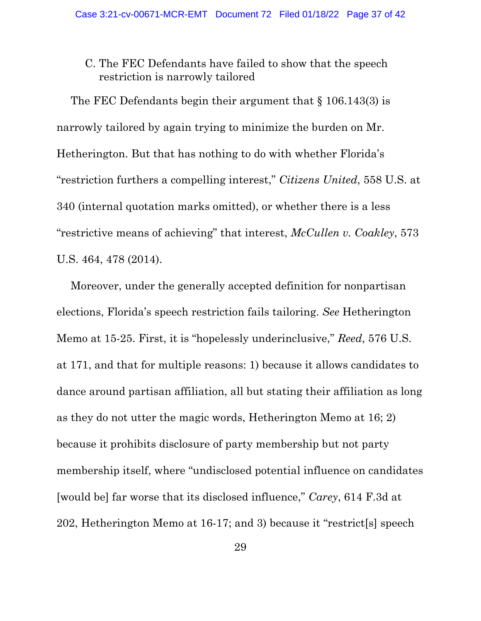C. The FEC Defendants have failed to show that the speech restriction is narrowly tailored

The FEC Defendants begin their argument that § 106.143(3) is narrowly tailored by again trying to minimize the burden on Mr. Hetherington. But that has nothing to do with whether Florida's "restriction furthers a compelling interest," *Citizens United*, 558 U.S. at 340 (internal quotation marks omitted), or whether there is a less "restrictive means of achieving" that interest, *McCullen v. Coakley*, 573 U.S. 464, 478 (2014).

Moreover, under the generally accepted definition for nonpartisan elections, Florida's speech restriction fails tailoring. *See* Hetherington Memo at 15-25. First, it is "hopelessly underinclusive," *Reed*, 576 U.S. at 171, and that for multiple reasons: 1) because it allows candidates to dance around partisan affiliation, all but stating their affiliation as long as they do not utter the magic words, Hetherington Memo at 16; 2) because it prohibits disclosure of party membership but not party membership itself, where "undisclosed potential influence on candidates [would be] far worse that its disclosed influence," *Carey*, 614 F.3d at 202, Hetherington Memo at 16-17; and 3) because it "restrict[s] speech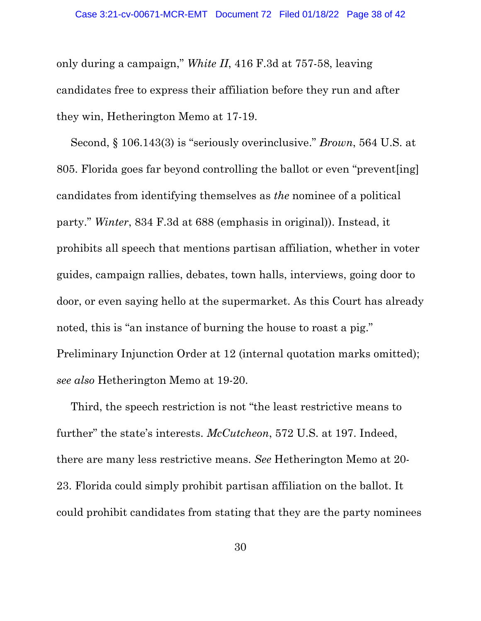only during a campaign," *White II*, 416 F.3d at 757-58, leaving candidates free to express their affiliation before they run and after they win, Hetherington Memo at 17-19.

Second, § 106.143(3) is "seriously overinclusive." *Brown*, 564 U.S. at 805. Florida goes far beyond controlling the ballot or even "prevent[ing] candidates from identifying themselves as *the* nominee of a political party." *Winter*, 834 F.3d at 688 (emphasis in original)). Instead, it prohibits all speech that mentions partisan affiliation, whether in voter guides, campaign rallies, debates, town halls, interviews, going door to door, or even saying hello at the supermarket. As this Court has already noted, this is "an instance of burning the house to roast a pig." Preliminary Injunction Order at 12 (internal quotation marks omitted); *see also* Hetherington Memo at 19-20.

Third, the speech restriction is not "the least restrictive means to further" the state's interests. *McCutcheon*, 572 U.S. at 197. Indeed, there are many less restrictive means. *See* Hetherington Memo at 20- 23. Florida could simply prohibit partisan affiliation on the ballot. It could prohibit candidates from stating that they are the party nominees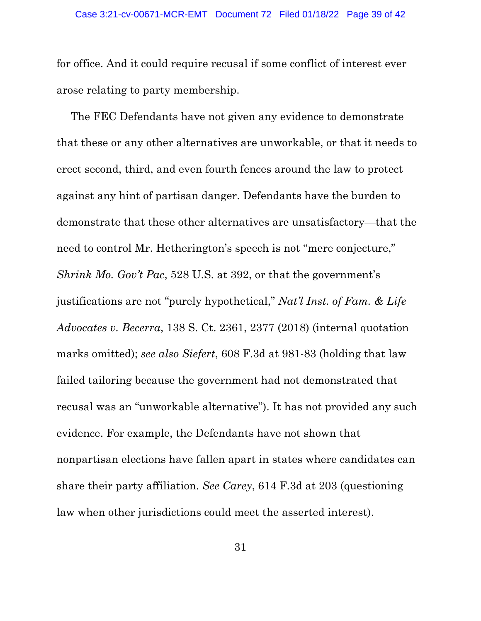for office. And it could require recusal if some conflict of interest ever arose relating to party membership.

The FEC Defendants have not given any evidence to demonstrate that these or any other alternatives are unworkable, or that it needs to erect second, third, and even fourth fences around the law to protect against any hint of partisan danger. Defendants have the burden to demonstrate that these other alternatives are unsatisfactory—that the need to control Mr. Hetherington's speech is not "mere conjecture," *Shrink Mo. Gov't Pac*, 528 U.S. at 392, or that the government's justifications are not "purely hypothetical," *Nat'l Inst. of Fam. & Life Advocates v. Becerra*, 138 S. Ct. 2361, 2377 (2018) (internal quotation marks omitted); *see also Siefert*, 608 F.3d at 981-83 (holding that law failed tailoring because the government had not demonstrated that recusal was an "unworkable alternative"). It has not provided any such evidence. For example, the Defendants have not shown that nonpartisan elections have fallen apart in states where candidates can share their party affiliation. *See Carey*, 614 F.3d at 203 (questioning law when other jurisdictions could meet the asserted interest).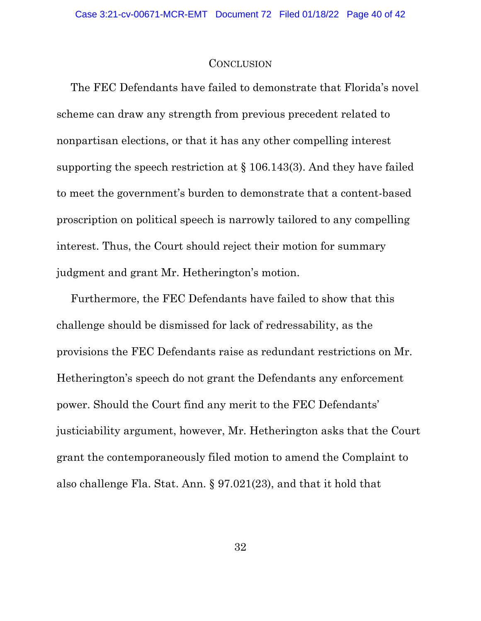#### **CONCLUSION**

The FEC Defendants have failed to demonstrate that Florida's novel scheme can draw any strength from previous precedent related to nonpartisan elections, or that it has any other compelling interest supporting the speech restriction at § 106.143(3). And they have failed to meet the government's burden to demonstrate that a content-based proscription on political speech is narrowly tailored to any compelling interest. Thus, the Court should reject their motion for summary judgment and grant Mr. Hetherington's motion.

Furthermore, the FEC Defendants have failed to show that this challenge should be dismissed for lack of redressability, as the provisions the FEC Defendants raise as redundant restrictions on Mr. Hetherington's speech do not grant the Defendants any enforcement power. Should the Court find any merit to the FEC Defendants' justiciability argument, however, Mr. Hetherington asks that the Court grant the contemporaneously filed motion to amend the Complaint to also challenge Fla. Stat. Ann. § 97.021(23), and that it hold that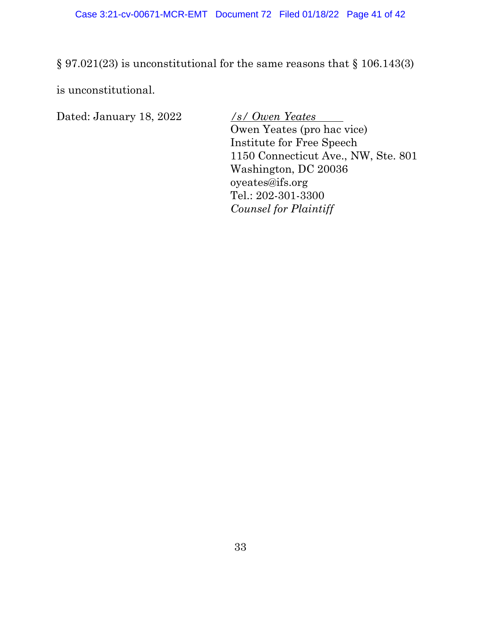§ 97.021(23) is unconstitutional for the same reasons that § 106.143(3)

is unconstitutional.

Dated: January 18, 2022 */s/ Owen Yeates*

Owen Yeates (pro hac vice) Institute for Free Speech 1150 Connecticut Ave., NW, Ste. 801 Washington, DC 20036 oyeates@ifs.org Tel.: 202-301-3300 *Counsel for Plaintiff*